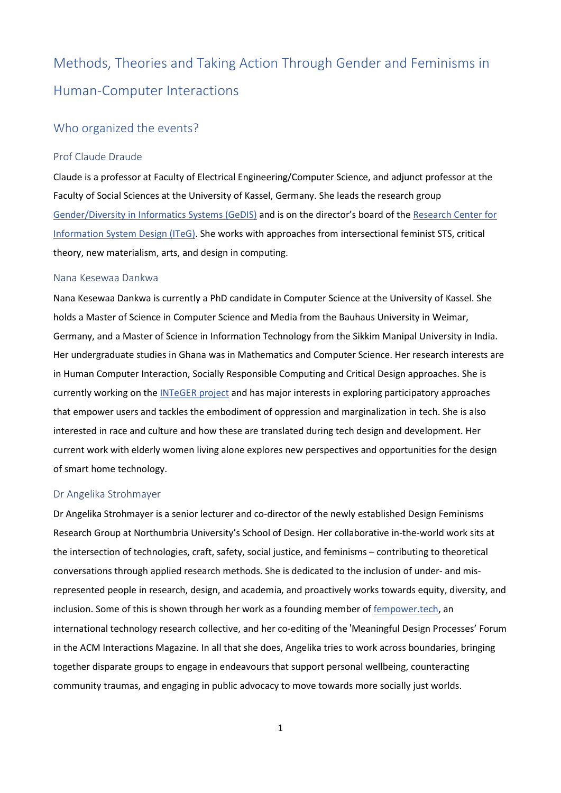# Methods, Theories and Taking Action Through Gender and Feminisms in Human-Computer Interactions

## Who organized the events?

#### Prof Claude Draude

Claude is a professor at Faculty of Electrical Engineering/Computer Science, and adjunct professor at the Faculty of Social Sciences at the University of Kassel, Germany. She leads the research group [Gender/Diversity](https://www.uni-kassel.de/go/GeDIS/) in Informatics Systems (GeDIS) and is on the director's board of the [Research](https://www.uni-kassel.de/forschung/iteg/) Center for [Information](https://www.uni-kassel.de/forschung/iteg/) System Design (ITeG). She works with approaches from intersectional feminist STS, critical theory, new materialism, arts, and design in computing.

#### Nana Kesewaa Dankwa

Nana Kesewaa Dankwa is currently a PhD candidate in Computer Science at the University of Kassel. She holds a Master of Science in Computer Science and Media from the Bauhaus University in Weimar, Germany, and a Master of Science in Information Technology from the Sikkim Manipal University in India. Her undergraduate studies in Ghana was in Mathematics and Computer Science. Her research interests are in Human Computer Interaction, Socially Responsible Computing and Critical Design approaches. She is currently working on the [INTeGER](https://www.uni-kassel.de/eecs/en/gedis/research/integer) project and has major interests in exploring participatory approaches that empower users and tackles the embodiment of oppression and marginalization in tech. She is also interested in race and culture and how these are translated during tech design and development. Her current work with elderly women living alone explores new perspectives and opportunities for the design of smart home technology.

#### Dr Angelika Strohmayer

Dr Angelika Strohmayer is a senior lecturer and co-director of the newly established Design Feminisms Research Group at Northumbria University's School of Design. Her collaborative in-the-world work sits at the intersection of technologies, craft, safety, social justice, and feminisms – contributing to theoretical conversations through applied research methods. She is dedicated to the inclusion of under- and misrepresented people in research, design, and academia, and proactively works towards equity, diversity, and inclusion. Some of this is shown through her work as a founding member of [fempower.tech,](https://fempower.tech/) an international technology research collective, and her co-editing of the 'Meaningful Design Processes' Forum in the ACM Interactions Magazine. In all that she does, Angelika tries to work across boundaries, bringing together disparate groups to engage in endeavours that support personal wellbeing, counteracting community traumas, and engaging in public advocacy to move towards more socially just worlds.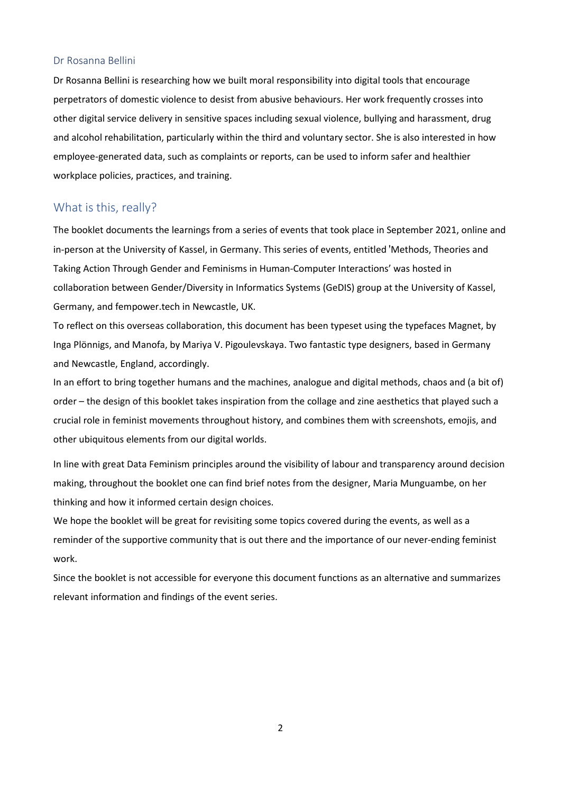### Dr Rosanna Bellini

Dr Rosanna Bellini is researching how we built moral responsibility into digital tools that encourage perpetrators of domestic violence to desist from abusive behaviours. Her work frequently crosses into other digital service delivery in sensitive spaces including sexual violence, bullying and harassment, drug and alcohol rehabilitation, particularly within the third and voluntary sector. She is also interested in how employee-generated data, such as complaints or reports, can be used to inform safer and healthier workplace policies, practices, and training.

## What is this, really?

The booklet documents the learnings from a series of events that took place in September 2021, online and in-person at the University of Kassel, in Germany. This series of events, entitled 'Methods, Theories and Taking Action Through Gender and Feminisms in Human-Computer Interactions' was hosted in collaboration between Gender/Diversity in Informatics Systems (GeDIS) group at the University of Kassel, Germany, and fempower.tech in Newcastle, UK.

To reflect on this overseas collaboration, this document has been typeset using the typefaces Magnet, by Inga Plönnigs, and Manofa, by Mariya V. Pigoulevskaya. Two fantastic type designers, based in Germany and Newcastle, England, accordingly.

In an effort to bring together humans and the machines, analogue and digital methods, chaos and (a bit of) order – the design of this booklet takes inspiration from the collage and zine aesthetics that played such a crucial role in feminist movements throughout history, and combines them with screenshots, emojis, and other ubiquitous elements from our digital worlds.

In line with great Data Feminism principles around the visibility of labour and transparency around decision making, throughout the booklet one can find brief notes from the designer, Maria Munguambe, on her thinking and how it informed certain design choices.

We hope the booklet will be great for revisiting some topics covered during the events, as well as a reminder of the supportive community that is out there and the importance of our never-ending feminist work.

Since the booklet is not accessible for everyone this document functions as an alternative and summarizes relevant information and findings of the event series.

2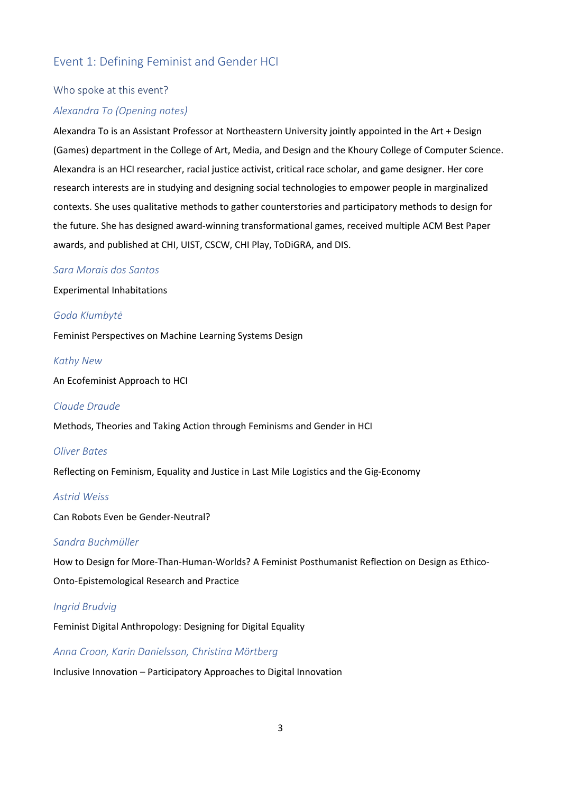## Event 1: Defining Feminist and Gender HCI

### Who spoke at this event?

#### *Alexandra To (Opening notes)*

Alexandra To is an Assistant Professor at Northeastern University jointly appointed in the Art + Design (Games) department in the College of Art, Media, and Design and the Khoury College of Computer Science. Alexandra is an HCI researcher, racial justice activist, critical race scholar, and game designer. Her core research interests are in studying and designing social technologies to empower people in marginalized contexts. She uses qualitative methods to gather counterstories and participatory methods to design for the future. She has designed award-winning transformational games, received multiple ACM Best Paper awards, and published at CHI, UIST, CSCW, CHI Play, ToDiGRA, and DIS.

#### *Sara Morais dos Santos*

Experimental Inhabitations

#### *Goda Klumbytė*

Feminist Perspectives on Machine Learning Systems Design

#### *Kathy New*

An Ecofeminist Approach to HCI

#### *Claude Draude*

Methods, Theories and Taking Action through Feminisms and Gender in HCI

#### *Oliver Bates*

Reflecting on Feminism, Equality and Justice in Last Mile Logistics and the Gig-Economy

#### *Astrid Weiss*

Can Robots Even be Gender-Neutral?

## *Sandra Buchmüller*

How to Design for More-Than-Human-Worlds? A Feminist Posthumanist Reflection on Design as Ethico-Onto-Epistemological Research and Practice

#### *Ingrid Brudvig*

Feminist Digital Anthropology: Designing for Digital Equality

#### *Anna Croon, Karin Danielsson, Christina Mörtberg*

Inclusive Innovation – Participatory Approaches to Digital Innovation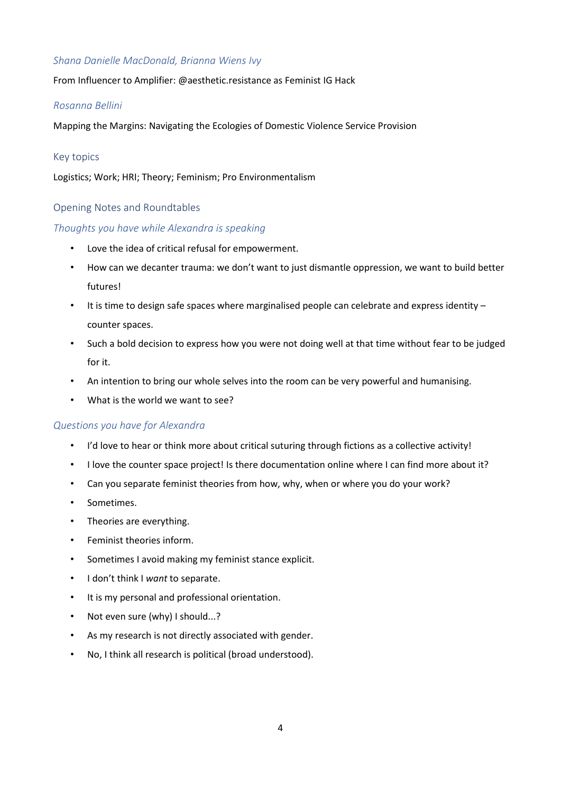## *Shana Danielle MacDonald, Brianna Wiens Ivy*

From Influencer to Amplifier: @aesthetic.resistance as Feminist IG Hack

## *Rosanna Bellini*

Mapping the Margins: Navigating the Ecologies of Domestic Violence Service Provision

## Key topics

Logistics; Work; HRI; Theory; Feminism; Pro Environmentalism

## Opening Notes and Roundtables

## *Thoughts you have while Alexandra is speaking*

- Love the idea of critical refusal for empowerment.
- How can we decanter trauma: we don't want to just dismantle oppression, we want to build better futures!
- It is time to design safe spaces where marginalised people can celebrate and express identity counter spaces.
- Such a bold decision to express how you were not doing well at that time without fear to be judged for it.
- An intention to bring our whole selves into the room can be very powerful and humanising.
- What is the world we want to see?

## *Questions you have for Alexandra*

- I'd love to hear or think more about critical suturing through fictions as a collective activity!
- I love the counter space project! Is there documentation online where I can find more about it?
- Can you separate feminist theories from how, why, when or where you do your work?
- Sometimes.
- Theories are everything.
- Feminist theories inform.
- Sometimes I avoid making my feminist stance explicit.
- I don't think I *want* to separate.
- It is my personal and professional orientation.
- Not even sure (why) I should...?
- As my research is not directly associated with gender.
- No, I think all research is political (broad understood).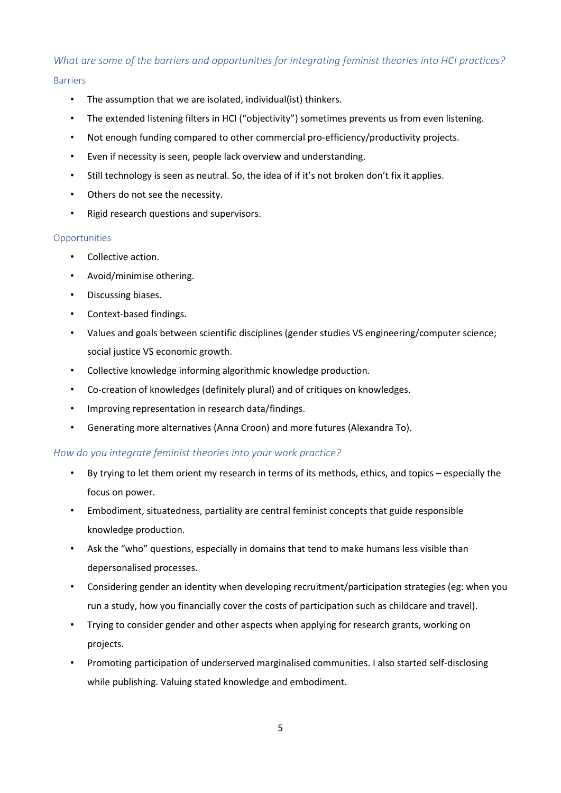## *What are some of the barriers and opportunities for integrating feminist theories into HCI practices?* Barriers

- The assumption that we are isolated, individual(ist) thinkers.
- The extended listening filters in HCI ("objectivity") sometimes prevents us from even listening.
- Not enough funding compared to other commercial pro-efficiency/productivity projects.
- Even if necessity is seen, people lack overview and understanding.
- Still technology is seen as neutral. So, the idea of if it's not broken don't fix it applies.
- Others do not see the necessity.
- Rigid research questions and supervisors.

### **Opportunities**

- Collective action.
- Avoid/minimise othering.
- Discussing biases.
- Context-based findings.
- Values and goals between scientific disciplines (gender studies VS engineering/computer science; social justice VS economic growth.
- Collective knowledge informing algorithmic knowledge production.
- Co-creation of knowledges (definitely plural) and of critiques on knowledges.
- Improving representation in research data/findings.
- Generating more alternatives (Anna Croon) and more futures (Alexandra To).

## *How do you integrate feminist theories into your work practice?*

- By trying to let them orient my research in terms of its methods, ethics, and topics especially the focus on power.
- Embodiment, situatedness, partiality are central feminist concepts that guide responsible knowledge production.
- Ask the "who" questions, especially in domains that tend to make humans less visible than depersonalised processes.
- Considering gender an identity when developing recruitment/participation strategies (eg: when you run a study, how you financially cover the costs of participation such as childcare and travel).
- Trying to consider gender and other aspects when applying for research grants, working on projects.
- Promoting participation of underserved marginalised communities. I also started self-disclosing while publishing. Valuing stated knowledge and embodiment.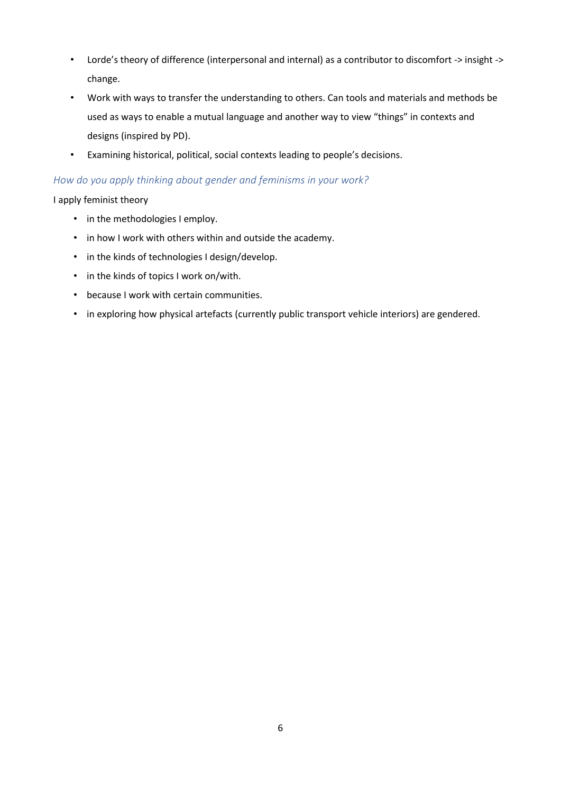- Lorde's theory of difference (interpersonal and internal) as a contributor to discomfort -> insight -> change.
- Work with ways to transfer the understanding to others. Can tools and materials and methods be used as ways to enable a mutual language and another way to view "things" in contexts and designs (inspired by PD).
- Examining historical, political, social contexts leading to people's decisions.

## *How do you apply thinking about gender and feminisms in your work?*

I apply feminist theory

- in the methodologies I employ.
- in how I work with others within and outside the academy.
- in the kinds of technologies I design/develop.
- in the kinds of topics I work on/with.
- because I work with certain communities.
- in exploring how physical artefacts (currently public transport vehicle interiors) are gendered.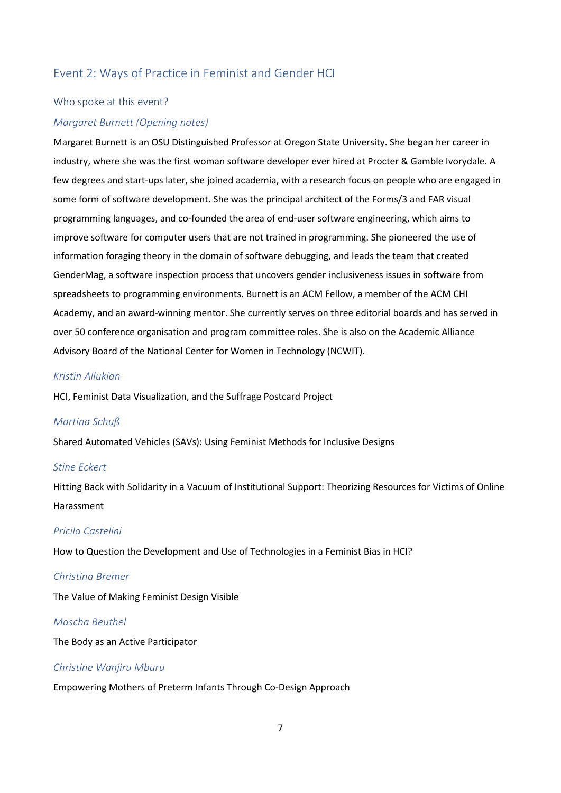## Event 2: Ways of Practice in Feminist and Gender HCI

### Who spoke at this event?

#### *Margaret Burnett (Opening notes)*

Margaret Burnett is an OSU Distinguished Professor at Oregon State University. She began her career in industry, where she was the first woman software developer ever hired at Procter & Gamble Ivorydale. A few degrees and start-ups later, she joined academia, with a research focus on people who are engaged in some form of software development. She was the principal architect of the Forms/3 and FAR visual programming languages, and co-founded the area of end-user software engineering, which aims to improve software for computer users that are not trained in programming. She pioneered the use of information foraging theory in the domain of software debugging, and leads the team that created GenderMag, a software inspection process that uncovers gender inclusiveness issues in software from spreadsheets to programming environments. Burnett is an ACM Fellow, a member of the ACM CHI Academy, and an award-winning mentor. She currently serves on three editorial boards and has served in over 50 conference organisation and program committee roles. She is also on the Academic Alliance Advisory Board of the National Center for Women in Technology (NCWIT).

### *Kristin Allukian*

HCI, Feminist Data Visualization, and the Suffrage Postcard Project

#### *Martina Schuß*

Shared Automated Vehicles (SAVs): Using Feminist Methods for Inclusive Designs

#### *Stine Eckert*

Hitting Back with Solidarity in a Vacuum of Institutional Support: Theorizing Resources for Victims of Online Harassment

## *Pricila Castelini*

How to Question the Development and Use of Technologies in a Feminist Bias in HCI?

#### *Christina Bremer*

The Value of Making Feminist Design Visible

#### *Mascha Beuthel*

The Body as an Active Participator

## *Christine Wanjiru Mburu*

Empowering Mothers of Preterm Infants Through Co-Design Approach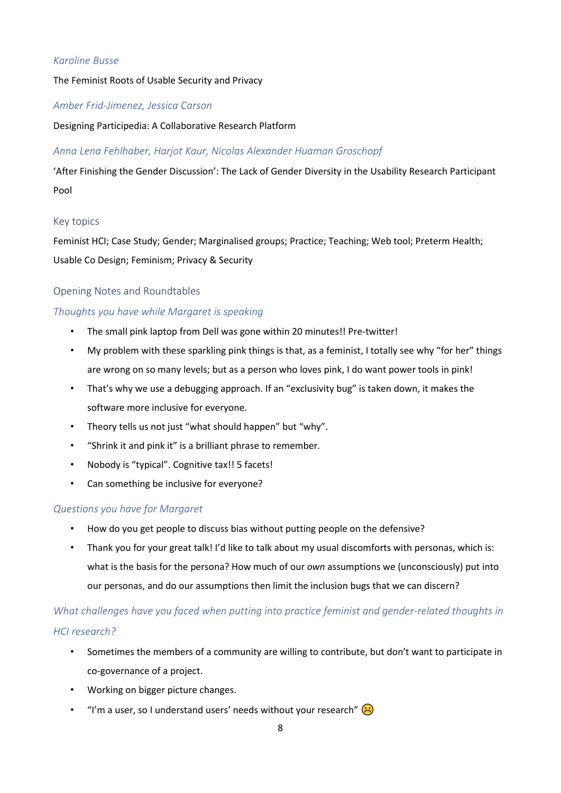## *Karoline Busse*

The Feminist Roots of Usable Security and Privacy

## *Amber Frid-Jimenez, Jessica Carson*

Designing Participedia: A Collaborative Research Platform

## *Anna Lena Fehlhaber, Harjot Kaur, Nicolas Alexander Huaman Groschopf*

'After Finishing the Gender Discussion': The Lack of Gender Diversity in the Usability Research Participant Pool

## Key topics

Feminist HCI; Case Study; Gender; Marginalised groups; Practice; Teaching; Web tool; Preterm Health; Usable Co Design; Feminism; Privacy & Security

## Opening Notes and Roundtables

## *Thoughts you have while Margaret is speaking*

- The small pink laptop from Dell was gone within 20 minutes!! Pre-twitter!
- My problem with these sparkling pink things is that, as a feminist, I totally see why "for her" things are wrong on so many levels; but as a person who loves pink, I do want power tools in pink!
- That's why we use a debugging approach. If an "exclusivity bug" is taken down, it makes the software more inclusive for everyone.
- Theory tells us not just "what should happen" but "why".
- "Shrink it and pink it" is a brilliant phrase to remember.
- Nobody is "typical". Cognitive tax!! 5 facets!
- Can something be inclusive for everyone?

### *Questions you have for Margaret*

- How do you get people to discuss bias without putting people on the defensive?
- Thank you for your great talk! I'd like to talk about my usual discomforts with personas, which is: what is the basis for the persona? How much of our *own* assumptions we (unconsciously) put into our personas, and do our assumptions then limit the inclusion bugs that we can discern?

## *What challenges have you faced when putting into practice feminist and gender-related thoughts in HCI research?*

- Sometimes the members of a community are willing to contribute, but don't want to participate in co-governance of a project.
- Working on bigger picture changes.
- "I'm a user, so I understand users' needs without your research"  $\left( \cdot \right)$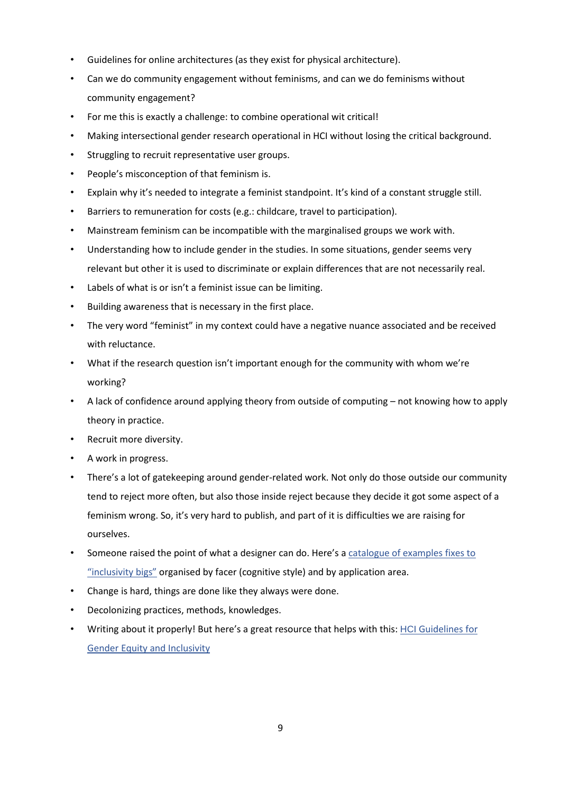- Guidelines for online architectures (as they exist for physical architecture).
- Can we do community engagement without feminisms, and can we do feminisms without community engagement?
- For me this is exactly a challenge: to combine operational wit critical!
- Making intersectional gender research operational in HCI without losing the critical background.
- Struggling to recruit representative user groups.
- People's misconception of that feminism is.
- Explain why it's needed to integrate a feminist standpoint. It's kind of a constant struggle still.
- Barriers to remuneration for costs (e.g.: childcare, travel to participation).
- Mainstream feminism can be incompatible with the marginalised groups we work with.
- Understanding how to include gender in the studies. In some situations, gender seems very relevant but other it is used to discriminate or explain differences that are not necessarily real.
- Labels of what is or isn't a feminist issue can be limiting.
- Building awareness that is necessary in the first place.
- The very word "feminist" in my context could have a negative nuance associated and be received with reluctance.
- What if the research question isn't important enough for the community with whom we're working?
- A lack of confidence around applying theory from outside of computing not knowing how to apply theory in practice.
- Recruit more diversity.
- A work in progress.
- There's a lot of gatekeeping around gender-related work. Not only do those outside our community tend to reject more often, but also those inside reject because they decide it got some aspect of a feminism wrong. So, it's very hard to publish, and part of it is difficulties we are raising for ourselves.
- Someone raised the point of what a designer can do. Here's a [catalogue](http://gendermag.org/dc/) of examples fixes to ["inclusivity](http://gendermag.org/dc/) bigs" organised by facer (cognitive style) and by application area.
- Change is hard, things are done like they always were done.
- Decolonizing practices, methods, knowledges.
- Writing about it properly! But here's a great resource that helps with this: HCI [Guidelines](https://www.morgan-klaus.com/gender-guidelines.html) fo[r](https://www.morgan-klaus.com/gender-guidelines.html) Gender Equity and [Inclusivity](https://www.morgan-klaus.com/gender-guidelines.html)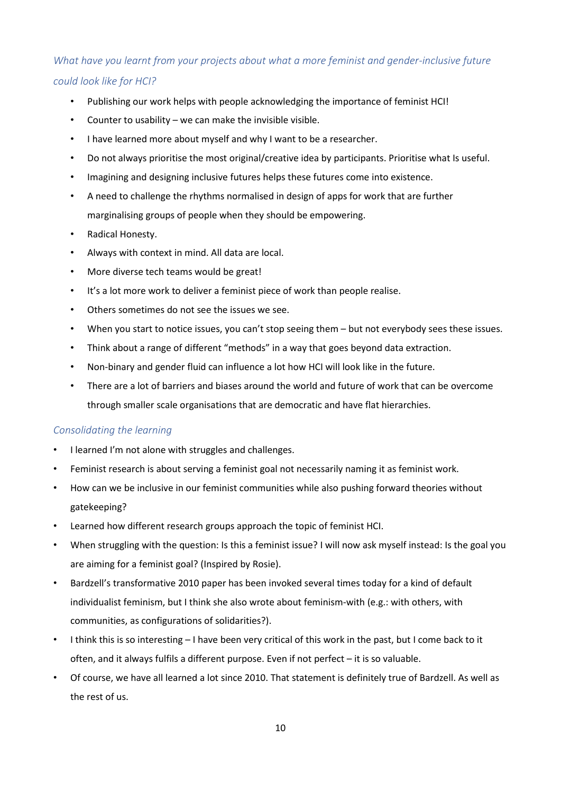## *What have you learnt from your projects about what a more feminist and gender-inclusive future could look like for HCI?*

- Publishing our work helps with people acknowledging the importance of feminist HCI!
- Counter to usability we can make the invisible visible.
- I have learned more about myself and why I want to be a researcher.
- Do not always prioritise the most original/creative idea by participants. Prioritise what Is useful.
- Imagining and designing inclusive futures helps these futures come into existence.
- A need to challenge the rhythms normalised in design of apps for work that are further marginalising groups of people when they should be empowering.
- Radical Honesty.
- Always with context in mind. All data are local.
- More diverse tech teams would be great!
- It's a lot more work to deliver a feminist piece of work than people realise.
- Others sometimes do not see the issues we see.
- When you start to notice issues, you can't stop seeing them but not everybody sees these issues.
- Think about a range of different "methods" in a way that goes beyond data extraction.
- Non-binary and gender fluid can influence a lot how HCI will look like in the future.
- There are a lot of barriers and biases around the world and future of work that can be overcome through smaller scale organisations that are democratic and have flat hierarchies.

## *Consolidating the learning*

- I learned I'm not alone with struggles and challenges.
- Feminist research is about serving a feminist goal not necessarily naming it as feminist work.
- How can we be inclusive in our feminist communities while also pushing forward theories without gatekeeping?
- Learned how different research groups approach the topic of feminist HCI.
- When struggling with the question: Is this a feminist issue? I will now ask myself instead: Is the goal you are aiming for a feminist goal? (Inspired by Rosie).
- Bardzell's transformative 2010 paper has been invoked several times today for a kind of default individualist feminism, but I think she also wrote about feminism-with (e.g.: with others, with communities, as configurations of solidarities?).
- I think this is so interesting I have been very critical of this work in the past, but I come back to it often, and it always fulfils a different purpose. Even if not perfect – it is so valuable.
- Of course, we have all learned a lot since 2010. That statement is definitely true of Bardzell. As well as the rest of us.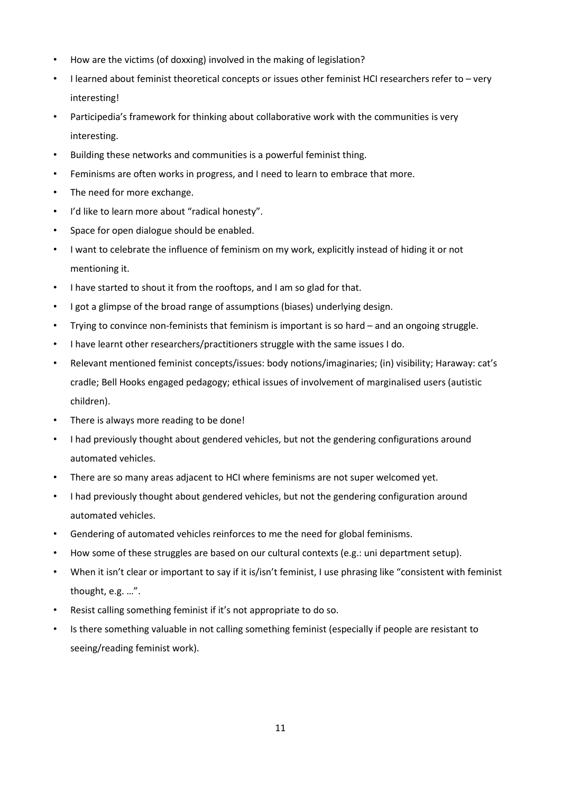- How are the victims (of doxxing) involved in the making of legislation?
- I learned about feminist theoretical concepts or issues other feminist HCI researchers refer to very interesting!
- Participedia's framework for thinking about collaborative work with the communities is very interesting.
- Building these networks and communities is a powerful feminist thing.
- Feminisms are often works in progress, and I need to learn to embrace that more.
- The need for more exchange.
- I'd like to learn more about "radical honesty".
- Space for open dialogue should be enabled.
- I want to celebrate the influence of feminism on my work, explicitly instead of hiding it or not mentioning it.
- I have started to shout it from the rooftops, and I am so glad for that.
- I got a glimpse of the broad range of assumptions (biases) underlying design.
- Trying to convince non-feminists that feminism is important is so hard and an ongoing struggle.
- I have learnt other researchers/practitioners struggle with the same issues I do.
- Relevant mentioned feminist concepts/issues: body notions/imaginaries; (in) visibility; Haraway: cat's cradle; Bell Hooks engaged pedagogy; ethical issues of involvement of marginalised users (autistic children).
- There is always more reading to be done!
- I had previously thought about gendered vehicles, but not the gendering configurations around automated vehicles.
- There are so many areas adjacent to HCI where feminisms are not super welcomed yet.
- I had previously thought about gendered vehicles, but not the gendering configuration around automated vehicles.
- Gendering of automated vehicles reinforces to me the need for global feminisms.
- How some of these struggles are based on our cultural contexts (e.g.: uni department setup).
- When it isn't clear or important to say if it is/isn't feminist, I use phrasing like "consistent with feminist thought, e.g. …".
- Resist calling something feminist if it's not appropriate to do so.
- Is there something valuable in not calling something feminist (especially if people are resistant to seeing/reading feminist work).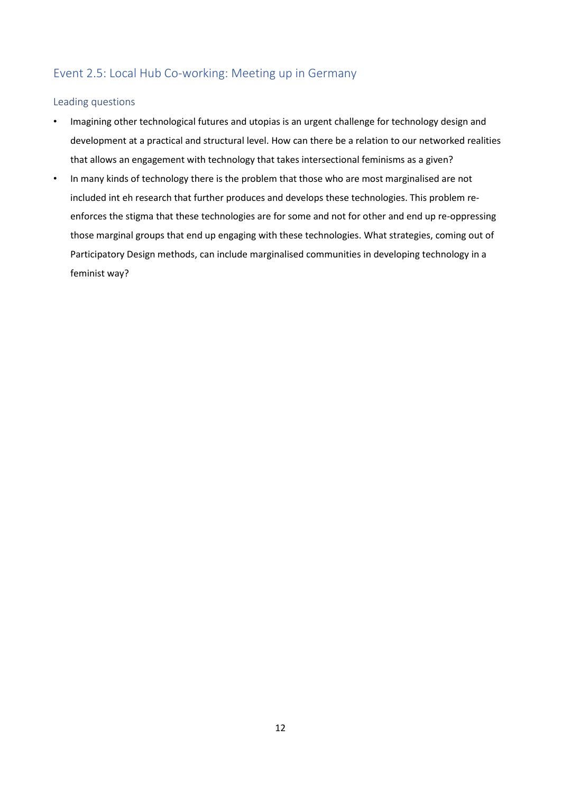## Event 2.5: Local Hub Co-working: Meeting up in Germany

## Leading questions

- Imagining other technological futures and utopias is an urgent challenge for technology design and development at a practical and structural level. How can there be a relation to our networked realities that allows an engagement with technology that takes intersectional feminisms as a given?
- In many kinds of technology there is the problem that those who are most marginalised are not included int eh research that further produces and develops these technologies. This problem reenforces the stigma that these technologies are for some and not for other and end up re-oppressing those marginal groups that end up engaging with these technologies. What strategies, coming out of Participatory Design methods, can include marginalised communities in developing technology in a feminist way?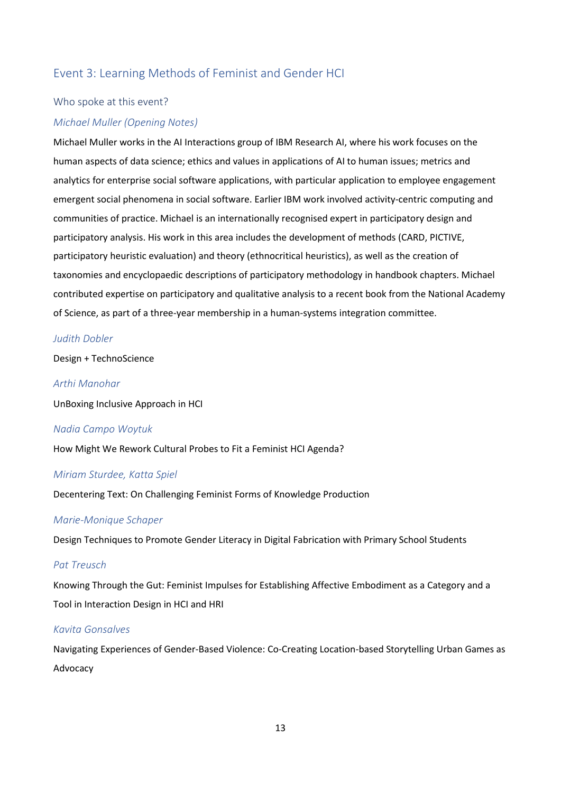## Event 3: Learning Methods of Feminist and Gender HCI

#### Who spoke at this event?

#### *Michael Muller (Opening Notes)*

Michael Muller works in the AI Interactions group of IBM Research AI, where his work focuses on the human aspects of data science; ethics and values in applications of AI to human issues; metrics and analytics for enterprise social software applications, with particular application to employee engagement emergent social phenomena in social software. Earlier IBM work involved activity-centric computing and communities of practice. Michael is an internationally recognised expert in participatory design and participatory analysis. His work in this area includes the development of methods (CARD, PICTIVE, participatory heuristic evaluation) and theory (ethnocritical heuristics), as well as the creation of taxonomies and encyclopaedic descriptions of participatory methodology in handbook chapters. Michael contributed expertise on participatory and qualitative analysis to a recent book from the National Academy of Science, as part of a three-year membership in a human-systems integration committee.

#### *Judith Dobler*

Design + TechnoScience

#### *Arthi Manohar*

UnBoxing Inclusive Approach in HCI

#### *Nadia Campo Woytuk*

How Might We Rework Cultural Probes to Fit a Feminist HCI Agenda?

#### *Miriam Sturdee, Katta Spiel*

Decentering Text: On Challenging Feminist Forms of Knowledge Production

#### *Marie-Monique Schaper*

Design Techniques to Promote Gender Literacy in Digital Fabrication with Primary School Students

#### *Pat Treusch*

Knowing Through the Gut: Feminist Impulses for Establishing Affective Embodiment as a Category and a Tool in Interaction Design in HCI and HRI

#### *Kavita Gonsalves*

Navigating Experiences of Gender-Based Violence: Co-Creating Location-based Storytelling Urban Games as Advocacy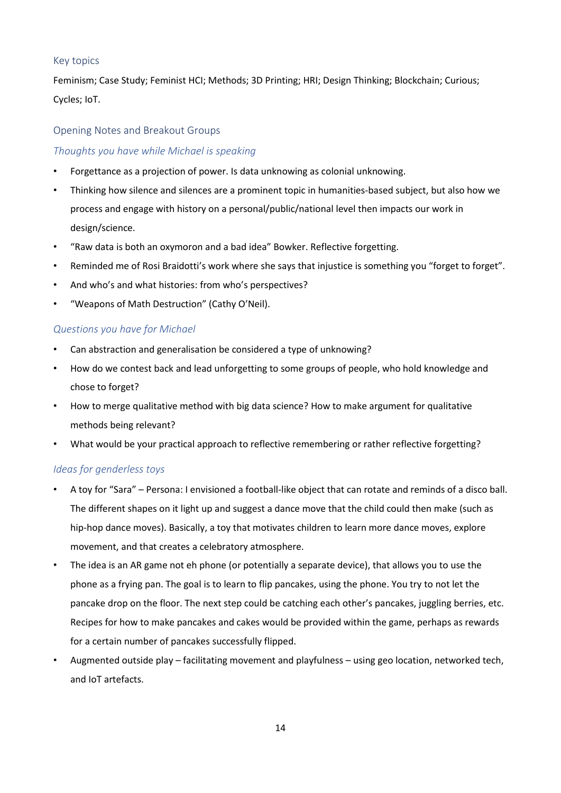## Key topics

Feminism; Case Study; Feminist HCI; Methods; 3D Printing; HRI; Design Thinking; Blockchain; Curious; Cycles; IoT.

## Opening Notes and Breakout Groups

## *Thoughts you have while Michael is speaking*

- Forgettance as a projection of power. Is data unknowing as colonial unknowing.
- Thinking how silence and silences are a prominent topic in humanities-based subject, but also how we process and engage with history on a personal/public/national level then impacts our work in design/science.
- "Raw data is both an oxymoron and a bad idea" Bowker. Reflective forgetting.
- Reminded me of Rosi Braidotti's work where she says that injustice is something you "forget to forget".
- And who's and what histories: from who's perspectives?
- "Weapons of Math Destruction" (Cathy O'Neil).

## *Questions you have for Michael*

- Can abstraction and generalisation be considered a type of unknowing?
- How do we contest back and lead unforgetting to some groups of people, who hold knowledge and chose to forget?
- How to merge qualitative method with big data science? How to make argument for qualitative methods being relevant?
- What would be your practical approach to reflective remembering or rather reflective forgetting?

### *Ideas for genderless toys*

- A toy for "Sara" Persona: I envisioned a football-like object that can rotate and reminds of a disco ball. The different shapes on it light up and suggest a dance move that the child could then make (such as hip-hop dance moves). Basically, a toy that motivates children to learn more dance moves, explore movement, and that creates a celebratory atmosphere.
- The idea is an AR game not eh phone (or potentially a separate device), that allows you to use the phone as a frying pan. The goal is to learn to flip pancakes, using the phone. You try to not let the pancake drop on the floor. The next step could be catching each other's pancakes, juggling berries, etc. Recipes for how to make pancakes and cakes would be provided within the game, perhaps as rewards for a certain number of pancakes successfully flipped.
- Augmented outside play facilitating movement and playfulness using geo location, networked tech, and IoT artefacts.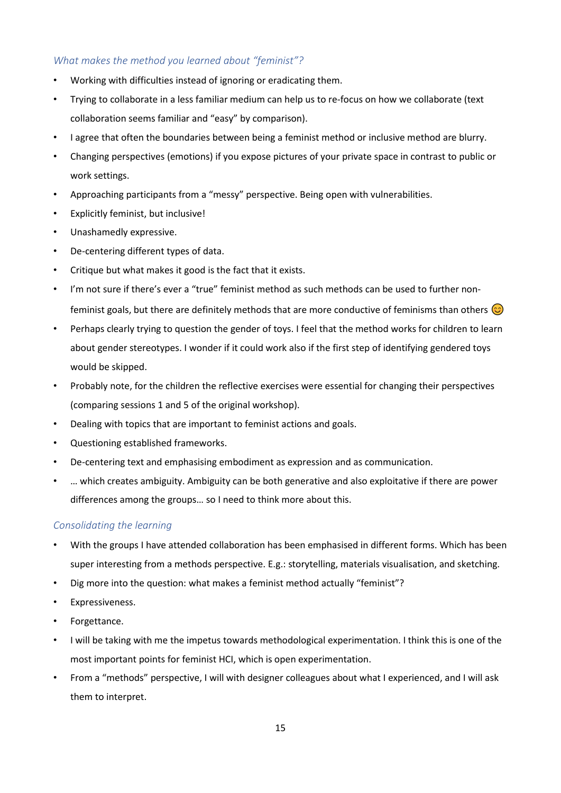## *What makes the method you learned about "feminist"?*

- Working with difficulties instead of ignoring or eradicating them.
- Trying to collaborate in a less familiar medium can help us to re-focus on how we collaborate (text collaboration seems familiar and "easy" by comparison).
- I agree that often the boundaries between being a feminist method or inclusive method are blurry.
- Changing perspectives (emotions) if you expose pictures of your private space in contrast to public or work settings.
- Approaching participants from a "messy" perspective. Being open with vulnerabilities.
- Explicitly feminist, but inclusive!
- Unashamedly expressive.
- De-centering different types of data.
- Critique but what makes it good is the fact that it exists.
- I'm not sure if there's ever a "true" feminist method as such methods can be used to further nonfeminist goals, but there are definitely methods that are more conductive of feminisms than others  $\odot$
- Perhaps clearly trying to question the gender of toys. I feel that the method works for children to learn about gender stereotypes. I wonder if it could work also if the first step of identifying gendered toys would be skipped.
- Probably note, for the children the reflective exercises were essential for changing their perspectives (comparing sessions 1 and 5 of the original workshop).
- Dealing with topics that are important to feminist actions and goals.
- Questioning established frameworks.
- De-centering text and emphasising embodiment as expression and as communication.
- … which creates ambiguity. Ambiguity can be both generative and also exploitative if there are power differences among the groups… so I need to think more about this.

## *Consolidating the learning*

- With the groups I have attended collaboration has been emphasised in different forms. Which has been super interesting from a methods perspective. E.g.: storytelling, materials visualisation, and sketching.
- Dig more into the question: what makes a feminist method actually "feminist"?
- Expressiveness.
- Forgettance.
- I will be taking with me the impetus towards methodological experimentation. I think this is one of the most important points for feminist HCI, which is open experimentation.
- From a "methods" perspective, I will with designer colleagues about what I experienced, and I will ask them to interpret.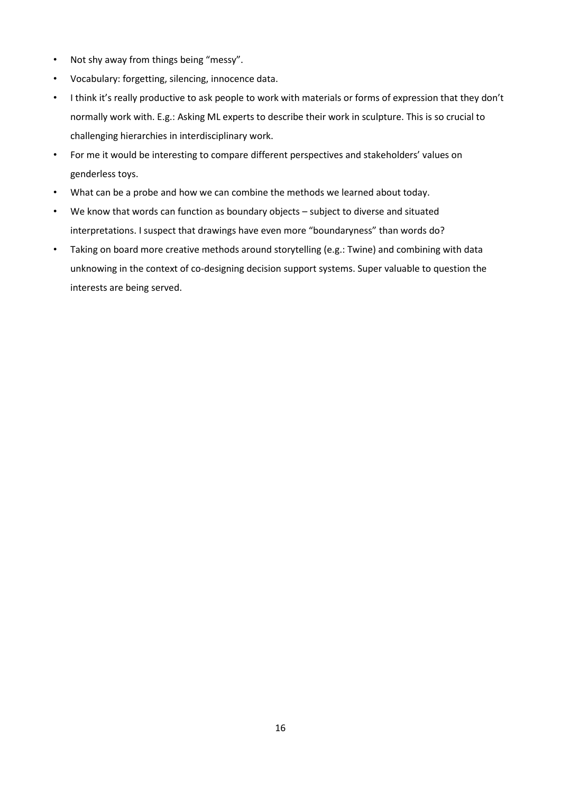- Not shy away from things being "messy".
- Vocabulary: forgetting, silencing, innocence data.
- I think it's really productive to ask people to work with materials or forms of expression that they don't normally work with. E.g.: Asking ML experts to describe their work in sculpture. This is so crucial to challenging hierarchies in interdisciplinary work.
- For me it would be interesting to compare different perspectives and stakeholders' values on genderless toys.
- What can be a probe and how we can combine the methods we learned about today.
- We know that words can function as boundary objects subject to diverse and situated interpretations. I suspect that drawings have even more "boundaryness" than words do?
- Taking on board more creative methods around storytelling (e.g.: Twine) and combining with data unknowing in the context of co-designing decision support systems. Super valuable to question the interests are being served.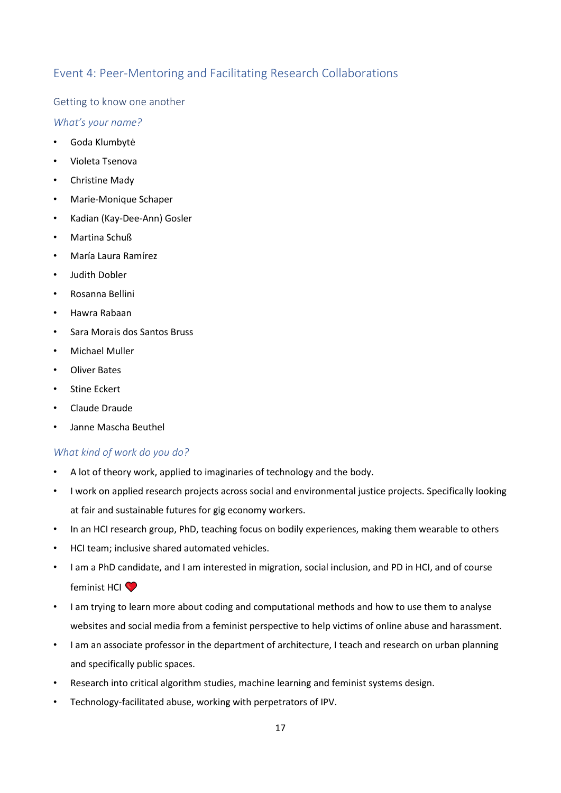## Event 4: Peer-Mentoring and Facilitating Research Collaborations

Getting to know one another

*What's your name?*

- Goda Klumbytė
- Violeta Tsenova
- Christine Mady
- Marie-Monique Schaper
- Kadian (Kay-Dee-Ann) Gosler
- Martina Schuß
- María Laura Ramírez
- Judith Dobler
- Rosanna Bellini
- Hawra Rabaan
- Sara Morais dos Santos Bruss
- Michael Muller
- Oliver Bates
- Stine Eckert
- Claude Draude
- Janne Mascha Beuthel

## *What kind of work do you do?*

- A lot of theory work, applied to imaginaries of technology and the body.
- I work on applied research projects across social and environmental justice projects. Specifically looking at fair and sustainable futures for gig economy workers.
- In an HCI research group, PhD, teaching focus on bodily experiences, making them wearable to others
- HCI team; inclusive shared automated vehicles.
- I am a PhD candidate, and I am interested in migration, social inclusion, and PD in HCI, and of course feminist HCI<sup>O</sup>
- I am trying to learn more about coding and computational methods and how to use them to analyse websites and social media from a feminist perspective to help victims of online abuse and harassment.
- I am an associate professor in the department of architecture, I teach and research on urban planning and specifically public spaces.
- Research into critical algorithm studies, machine learning and feminist systems design.
- Technology-facilitated abuse, working with perpetrators of IPV.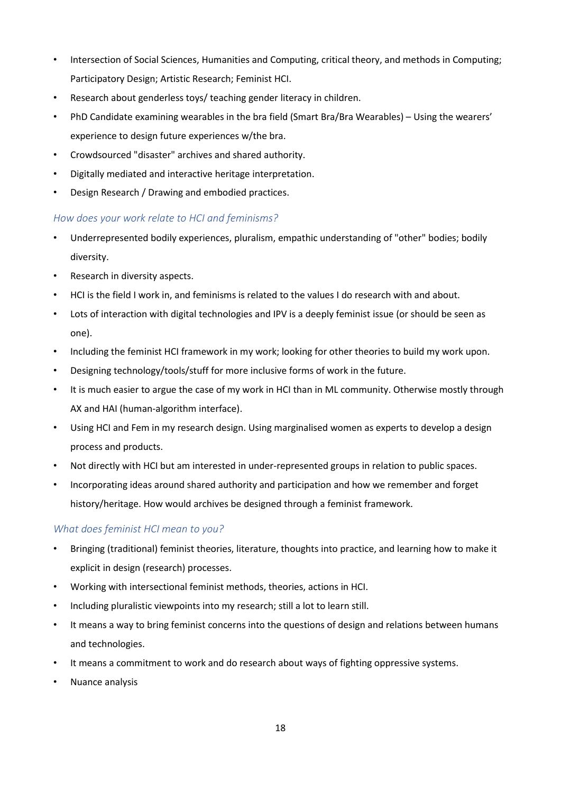- Intersection of Social Sciences, Humanities and Computing, critical theory, and methods in Computing; Participatory Design; Artistic Research; Feminist HCI.
- Research about genderless toys/ teaching gender literacy in children.
- PhD Candidate examining wearables in the bra field (Smart Bra/Bra Wearables) Using the wearers' experience to design future experiences w/the bra.
- Crowdsourced "disaster" archives and shared authority.
- Digitally mediated and interactive heritage interpretation.
- Design Research / Drawing and embodied practices.

## *How does your work relate to HCI and feminisms?*

- Underrepresented bodily experiences, pluralism, empathic understanding of "other" bodies; bodily diversity.
- Research in diversity aspects.
- HCI is the field I work in, and feminisms is related to the values I do research with and about.
- Lots of interaction with digital technologies and IPV is a deeply feminist issue (or should be seen as one).
- Including the feminist HCI framework in my work; looking for other theories to build my work upon.
- Designing technology/tools/stuff for more inclusive forms of work in the future.
- It is much easier to argue the case of my work in HCI than in ML community. Otherwise mostly through AX and HAI (human-algorithm interface).
- Using HCI and Fem in my research design. Using marginalised women as experts to develop a design process and products.
- Not directly with HCI but am interested in under-represented groups in relation to public spaces.
- Incorporating ideas around shared authority and participation and how we remember and forget history/heritage. How would archives be designed through a feminist framework.

## *What does feminist HCI mean to you?*

- Bringing (traditional) feminist theories, literature, thoughts into practice, and learning how to make it explicit in design (research) processes.
- Working with intersectional feminist methods, theories, actions in HCI.
- Including pluralistic viewpoints into my research; still a lot to learn still.
- It means a way to bring feminist concerns into the questions of design and relations between humans and technologies.
- It means a commitment to work and do research about ways of fighting oppressive systems.
- Nuance analysis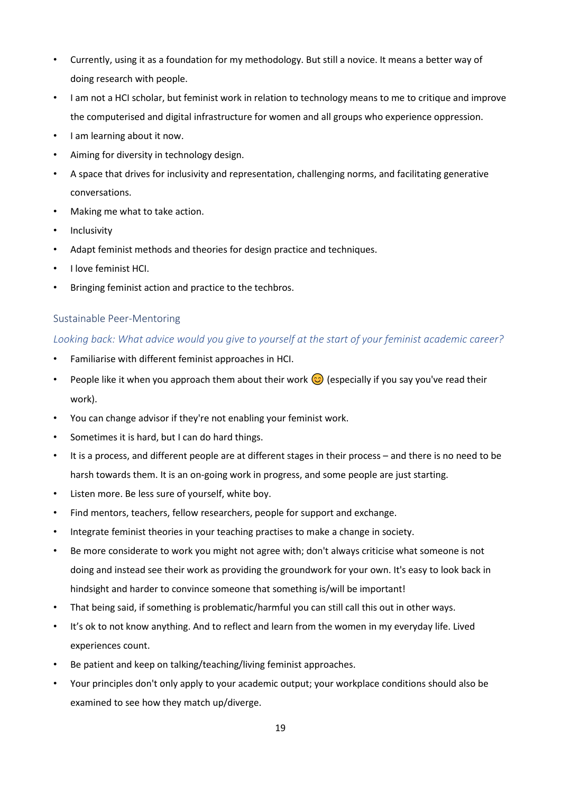- Currently, using it as a foundation for my methodology. But still a novice. It means a better way of doing research with people.
- I am not a HCI scholar, but feminist work in relation to technology means to me to critique and improve the computerised and digital infrastructure for women and all groups who experience oppression.
- I am learning about it now.
- Aiming for diversity in technology design.
- A space that drives for inclusivity and representation, challenging norms, and facilitating generative conversations.
- Making me what to take action.
- Inclusivity
- Adapt feminist methods and theories for design practice and techniques.
- I love feminist HCI.
- Bringing feminist action and practice to the techbros.

### Sustainable Peer-Mentoring

## *Looking back: What advice would you give to yourself at the start of your feminist academic career?*

- Familiarise with different feminist approaches in HCI.
- People like it when you approach them about their work  $\odot$  (especially if you say you've read their work).
- You can change advisor if they're not enabling your feminist work.
- Sometimes it is hard, but I can do hard things.
- It is a process, and different people are at different stages in their process and there is no need to be harsh towards them. It is an on-going work in progress, and some people are just starting.
- Listen more. Be less sure of yourself, white boy.
- Find mentors, teachers, fellow researchers, people for support and exchange.
- Integrate feminist theories in your teaching practises to make a change in society.
- Be more considerate to work you might not agree with; don't always criticise what someone is not doing and instead see their work as providing the groundwork for your own. It's easy to look back in hindsight and harder to convince someone that something is/will be important!
- That being said, if something is problematic/harmful you can still call this out in other ways.
- It's ok to not know anything. And to reflect and learn from the women in my everyday life. Lived experiences count.
- Be patient and keep on talking/teaching/living feminist approaches.
- Your principles don't only apply to your academic output; your workplace conditions should also be examined to see how they match up/diverge.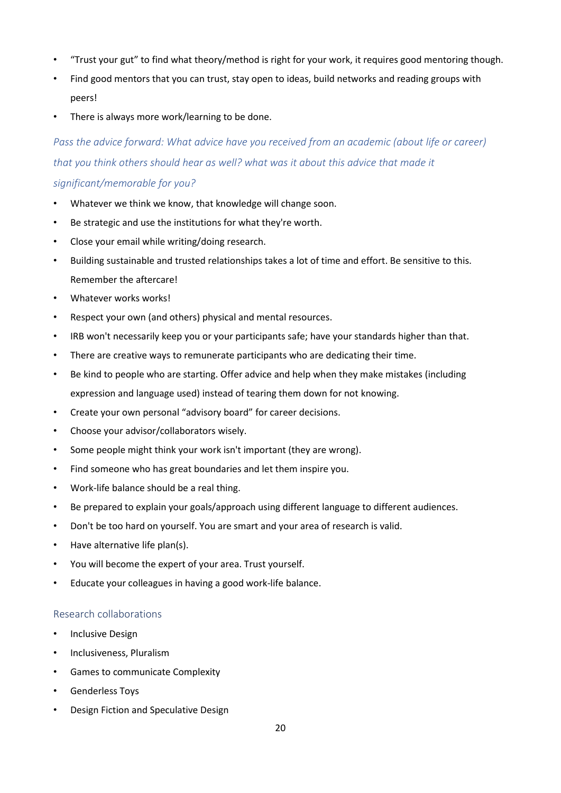- "Trust your gut" to find what theory/method is right for your work, it requires good mentoring though.
- Find good mentors that you can trust, stay open to ideas, build networks and reading groups with peers!
- There is always more work/learning to be done.

*Pass the advice forward: What advice have you received from an academic (about life or career) that you think others should hear as well? what was it about this advice that made it significant/memorable for you?*

- Whatever we think we know, that knowledge will change soon.
- Be strategic and use the institutions for what they're worth.
- Close your email while writing/doing research.
- Building sustainable and trusted relationships takes a lot of time and effort. Be sensitive to this. Remember the aftercare!
- Whatever works works!
- Respect your own (and others) physical and mental resources.
- IRB won't necessarily keep you or your participants safe; have your standards higher than that.
- There are creative ways to remunerate participants who are dedicating their time.
- Be kind to people who are starting. Offer advice and help when they make mistakes (including expression and language used) instead of tearing them down for not knowing.
- Create your own personal "advisory board" for career decisions.
- Choose your advisor/collaborators wisely.
- Some people might think your work isn't important (they are wrong).
- Find someone who has great boundaries and let them inspire you.
- Work-life balance should be a real thing.
- Be prepared to explain your goals/approach using different language to different audiences.
- Don't be too hard on yourself. You are smart and your area of research is valid.
- Have alternative life plan(s).
- You will become the expert of your area. Trust yourself.
- Educate your colleagues in having a good work-life balance.

### Research collaborations

- Inclusive Design
- Inclusiveness, Pluralism
- Games to communicate Complexity
- Genderless Toys
- Design Fiction and Speculative Design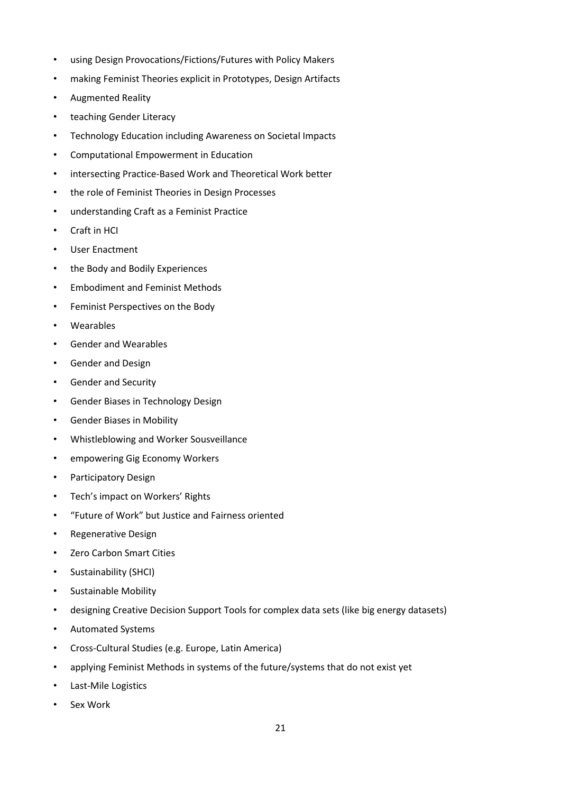- using Design Provocations/Fictions/Futures with Policy Makers
- making Feminist Theories explicit in Prototypes, Design Artifacts
- Augmented Reality
- teaching Gender Literacy
- Technology Education including Awareness on Societal Impacts
- Computational Empowerment in Education
- intersecting Practice-Based Work and Theoretical Work better
- the role of Feminist Theories in Design Processes
- understanding Craft as a Feminist Practice
- Craft in HCI
- User Enactment
- the Body and Bodily Experiences
- Embodiment and Feminist Methods
- Feminist Perspectives on the Body
- Wearables
- Gender and Wearables
- Gender and Design
- Gender and Security
- Gender Biases in Technology Design
- Gender Biases in Mobility
- Whistleblowing and Worker Sousveillance
- empowering Gig Economy Workers
- Participatory Design
- Tech's impact on Workers' Rights
- "Future of Work" but Justice and Fairness oriented
- Regenerative Design
- Zero Carbon Smart Cities
- Sustainability (SHCI)
- Sustainable Mobility
- designing Creative Decision Support Tools for complex data sets (like big energy datasets)
- Automated Systems
- Cross-Cultural Studies (e.g. Europe, Latin America)
- applying Feminist Methods in systems of the future/systems that do not exist yet
- Last-Mile Logistics
- Sex Work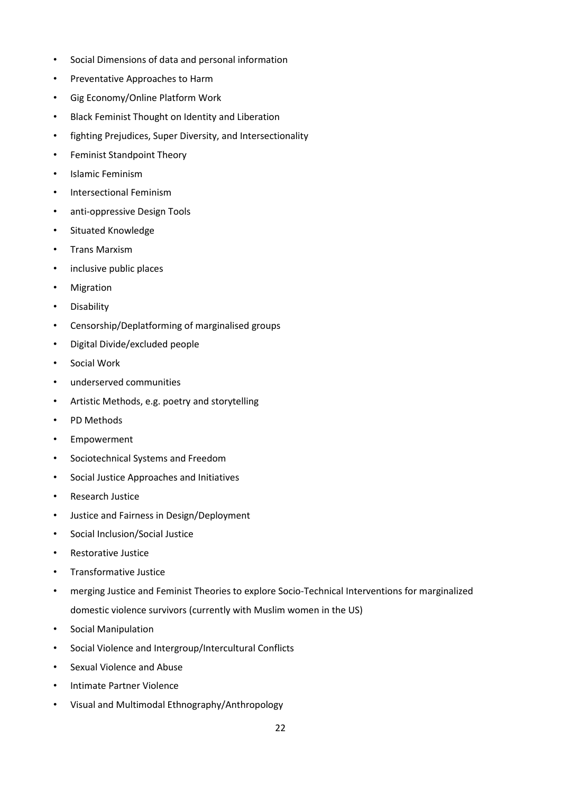- Social Dimensions of data and personal information
- Preventative Approaches to Harm
- Gig Economy/Online Platform Work
- Black Feminist Thought on Identity and Liberation
- fighting Prejudices, Super Diversity, and Intersectionality
- Feminist Standpoint Theory
- Islamic Feminism
- Intersectional Feminism
- anti-oppressive Design Tools
- Situated Knowledge
- Trans Marxism
- inclusive public places
- Migration
- Disability
- Censorship/Deplatforming of marginalised groups
- Digital Divide/excluded people
- Social Work
- underserved communities
- Artistic Methods, e.g. poetry and storytelling
- PD Methods
- Empowerment
- Sociotechnical Systems and Freedom
- Social Justice Approaches and Initiatives
- Research Justice
- Justice and Fairness in Design/Deployment
- Social Inclusion/Social Justice
- Restorative Justice
- Transformative Justice
- merging Justice and Feminist Theories to explore Socio-Technical Interventions for marginalized domestic violence survivors (currently with Muslim women in the US)
- Social Manipulation
- Social Violence and Intergroup/Intercultural Conflicts
- Sexual Violence and Abuse
- Intimate Partner Violence
- Visual and Multimodal Ethnography/Anthropology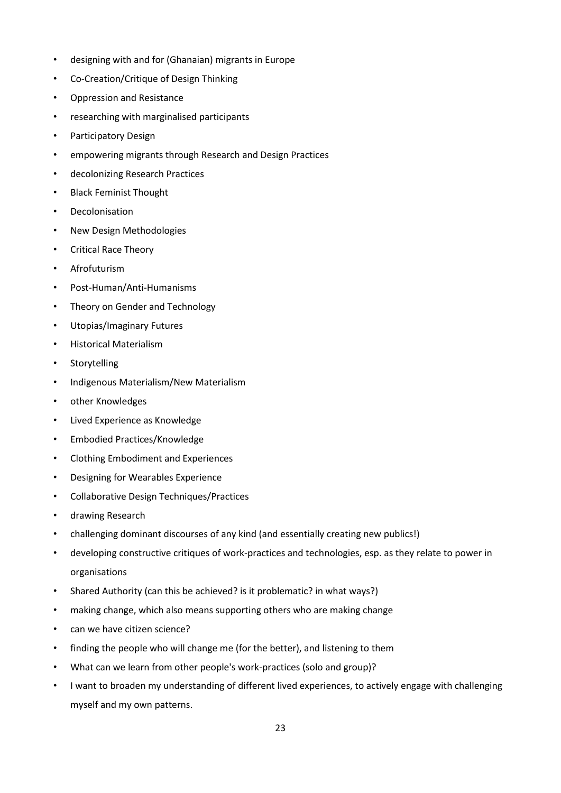- designing with and for (Ghanaian) migrants in Europe
- Co-Creation/Critique of Design Thinking
- Oppression and Resistance
- researching with marginalised participants
- Participatory Design
- empowering migrants through Research and Design Practices
- decolonizing Research Practices
- Black Feminist Thought
- Decolonisation
- New Design Methodologies
- Critical Race Theory
- Afrofuturism
- Post-Human/Anti-Humanisms
- Theory on Gender and Technology
- Utopias/Imaginary Futures
- Historical Materialism
- Storytelling
- Indigenous Materialism/New Materialism
- other Knowledges
- Lived Experience as Knowledge
- Embodied Practices/Knowledge
- Clothing Embodiment and Experiences
- Designing for Wearables Experience
- Collaborative Design Techniques/Practices
- drawing Research
- challenging dominant discourses of any kind (and essentially creating new publics!)
- developing constructive critiques of work-practices and technologies, esp. as they relate to power in organisations
- Shared Authority (can this be achieved? is it problematic? in what ways?)
- making change, which also means supporting others who are making change
- can we have citizen science?
- finding the people who will change me (for the better), and listening to them
- What can we learn from other people's work-practices (solo and group)?
- I want to broaden my understanding of different lived experiences, to actively engage with challenging myself and my own patterns.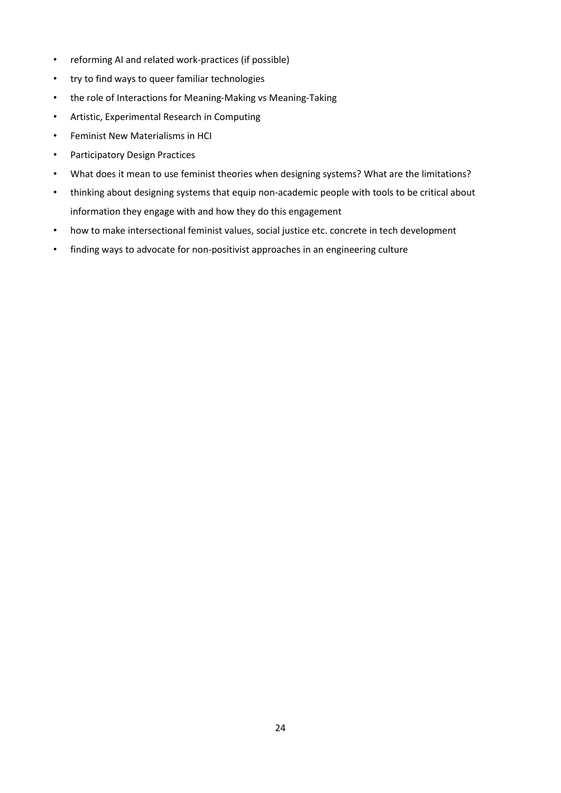- reforming AI and related work-practices (if possible)
- try to find ways to queer familiar technologies
- the role of Interactions for Meaning-Making vs Meaning-Taking
- Artistic, Experimental Research in Computing
- Feminist New Materialisms in HCI
- Participatory Design Practices
- What does it mean to use feminist theories when designing systems? What are the limitations?
- thinking about designing systems that equip non-academic people with tools to be critical about information they engage with and how they do this engagement
- how to make intersectional feminist values, social justice etc. concrete in tech development
- finding ways to advocate for non-positivist approaches in an engineering culture